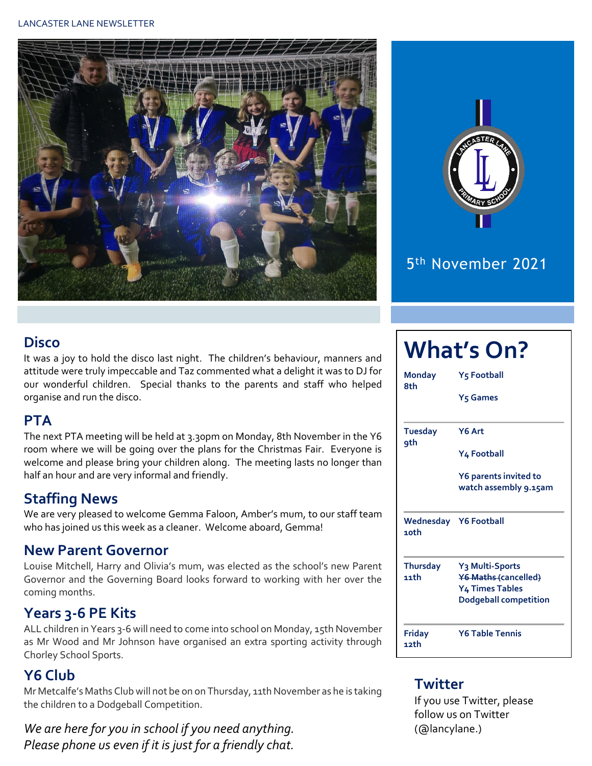#### LANCASTER LANE NEWSLETTER





### 5 th November 2021

#### **Disco**

It was a joy to hold the disco last night. The children's behaviour, manners and attitude were truly impeccable and Taz commented what a delight it was to DJ for our wonderful children. Special thanks to the parents and staff who helped organise and run the disco.

#### **PTA**

The next PTA meeting will be held at 3.30pm on Monday, 8th November in the Y6 room where we will be going over the plans for the Christmas Fair. Everyone is welcome and please bring your children along. The meeting lasts no longer than half an hour and are very informal and friendly.

#### **Staffing News**

We are very pleased to welcome Gemma Faloon, Amber's mum, to our staff team who has joined us this week as a cleaner. Welcome aboard, Gemma!

#### **New Parent Governor**

Louise Mitchell, Harry and Olivia's mum, was elected as the school's new Parent Governor and the Governing Board looks forward to working with her over the coming months.

#### **Years 3-6 PE Kits**

ALL children in Years 3-6 will need to come into school on Monday, 15th November as Mr Wood and Mr Johnson have organised an extra sporting activity through Chorley School Sports.

#### **Y6 Club**

Mr Metcalfe's Maths Club will not be on on Thursday, 11th November as he is taking the children to a Dodgeball Competition.

*We are here for you in school if you need anything. Please phone us even if it is just for a friendly chat.* 

| <b>What's On?</b>     |                                                        |  |  |  |  |  |  |
|-----------------------|--------------------------------------------------------|--|--|--|--|--|--|
| <b>Monday</b><br>8th  | Y5 Football<br>Y <sub>5</sub> Games                    |  |  |  |  |  |  |
|                       |                                                        |  |  |  |  |  |  |
| <b>Tuesday</b><br>qth | Y6 Art                                                 |  |  |  |  |  |  |
|                       | Y4 Football                                            |  |  |  |  |  |  |
|                       | Y6 parents invited to                                  |  |  |  |  |  |  |
|                       | watch assembly 9.15am                                  |  |  |  |  |  |  |
| 10th                  | Wednesday Y6 Football                                  |  |  |  |  |  |  |
| <b>Thursday</b>       | Y <sub>3</sub> Multi-Sports                            |  |  |  |  |  |  |
| 11th                  | <b>Y6 Maths (cancelled)</b>                            |  |  |  |  |  |  |
|                       | <b>Y4 Times Tables</b><br><b>Dodgeball competition</b> |  |  |  |  |  |  |
| <b>Friday</b>         | <b>Y6 Table Tennis</b>                                 |  |  |  |  |  |  |
| 12th                  |                                                        |  |  |  |  |  |  |

#### **Twitter**

If you use Twitter, please follow us on Twitter (@lancylane.)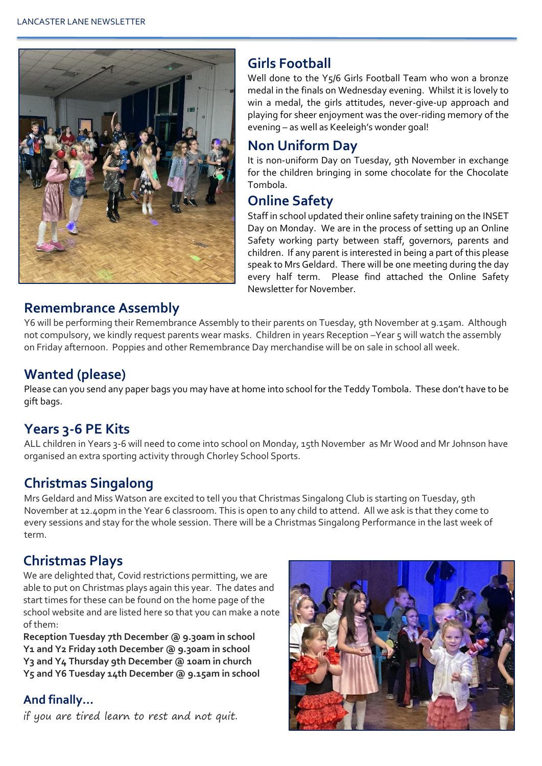

#### **Girls Football**

Well done to the Y5/6 Girls Football Team who won a bronze medal in the finals on Wednesday evening. Whilst it is lovely to win a medal, the girls attitudes, never-give-up approach and playing for sheer enjoyment was the over-riding memory of the evening – as well as Keeleigh's wonder goal!

#### **Non Uniform Day**

It is non-uniform Day on Tuesday, 9th November in exchange for the children bringing in some chocolate for the Chocolate Tombola.

#### **Online Safety**

Staff in school updated their online safety training on the INSET Day on Monday. We are in the process of setting up an Online Safety working party between staff, governors, parents and children. If any parent is interested in being a part of this please speak to Mrs Geldard. There will be one meeting during the day every half term. Please find attached the Online Safety Newsletter for November.

#### **Remembrance Assembly**

Y6 will be performing their Remembrance Assembly to their parents on Tuesday, 9th November at 9.15am. Although not compulsory, we kindly request parents wear masks. Children in years Reception –Year 5 will watch the assembly on Friday afternoon. Poppies and other Remembrance Day merchandise will be on sale in school all week.

#### **Wanted (please)**

Please can you send any paper bags you may have at home into school for the Teddy Tombola. These don't have to be gift bags.

#### **Years 3-6 PE Kits**

ALL children in Years 3-6 will need to come into school on Monday, 15th November as Mr Wood and Mr Johnson have organised an extra sporting activity through Chorley School Sports.

#### **Christmas Singalong**

Mrs Geldard and Miss Watson are excited to tell you that Christmas Singalong Club is starting on Tuesday, 9th November at 12.40pm in the Year 6 classroom. This is open to any child to attend. All we ask is that they come to every sessions and stay for the whole session. There will be a Christmas Singalong Performance in the last week of term.

#### **Christmas Plays**

We are delighted that, Covid restrictions permitting, we are able to put on Christmas plays again this year. The dates and start times for these can be found on the home page of the school website and are listed here so that you can make a note of them:

**Reception Tuesday 7th December @ 9.30am in school Y1 and Y2 Friday 10th December @ 9.30am in school Y3 and Y4 Thursday 9th December @ 10am in church Y5 and Y6 Tuesday 14th December @ 9.15am in school**

#### **And finally…**

if you are tired learn to rest and not quit.